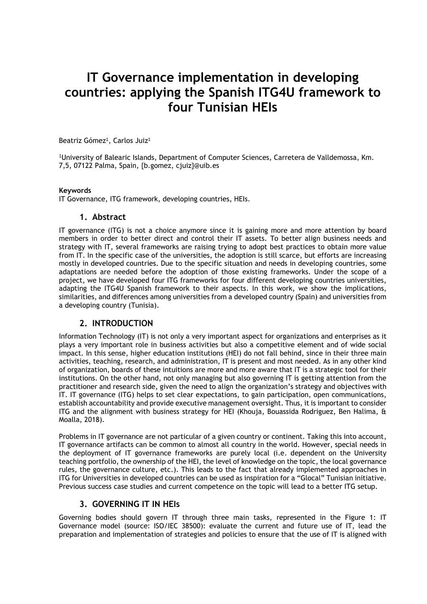# **IT Governance implementation in developing countries: applying the Spanish ITG4U framework to four Tunisian HEIs**

Beatriz Gómez<sup>1</sup>, Carlos Juiz<sup>1</sup>

<sup>1</sup>University of Balearic Islands, Department of Computer Sciences, Carretera de Valldemossa, Km. 7,5, 07122 Palma, Spain, {b.gomez, cjuiz}@uib.es

#### **Keywords**

IT Governance, ITG framework, developing countries, HEIs.

#### **1. Abstract**

IT governance (ITG) is not a choice anymore since it is gaining more and more attention by board members in order to better direct and control their IT assets. To better align business needs and strategy with IT, several frameworks are raising trying to adopt best practices to obtain more value from IT. In the specific case of the universities, the adoption is still scarce, but efforts are increasing mostly in developed countries. Due to the specific situation and needs in developing countries, some adaptations are needed before the adoption of those existing frameworks. Under the scope of a project, we have developed four ITG frameworks for four different developing countries universities, adapting the ITG4U Spanish framework to their aspects. In this work, we show the implications, similarities, and differences among universities from a developed country (Spain) and universities from a developing country (Tunisia).

### **2. INTRODUCTION**

Information Technology (IT) is not only a very important aspect for organizations and enterprises as it plays a very important role in business activities but also a competitive element and of wide social impact. In this sense, higher education institutions (HEI) do not fall behind, since in their three main activities, teaching, research, and administration, IT is present and most needed. As in any other kind of organization, boards of these intuitions are more and more aware that IT is a strategic tool for their institutions. On the other hand, not only managing but also governing IT is getting attention from the practitioner and research side, given the need to align the organization's strategy and objectives with IT. IT governance (ITG) helps to set clear expectations, to gain participation, open communications, establish accountability and provide executive management oversight. Thus, it is important to consider ITG and the alignment with business strategy for HEI (Khouja, Bouassida Rodriguez, Ben Halima, & Moalla, 2018).

Problems in IT governance are not particular of a given country or continent. Taking this into account, IT governance artifacts can be common to almost all country in the world. However, special needs in the deployment of IT governance frameworks are purely local (i.e. dependent on the University teaching portfolio, the ownership of the HEI, the level of knowledge on the topic, the local governance rules, the governance culture, etc.). This leads to the fact that already implemented approaches in ITG for Universities in developed countries can be used as inspiration for a "Glocal" Tunisian initiative. Previous success case studies and current competence on the topic will lead to a better ITG setup.

### **3. GOVERNING IT IN HEIs**

Governing bodies should govern IT through three main tasks, represented in the Figure 1: IT Governance model (source: ISO/IEC 38500): evaluate the current and future use of IT, lead the preparation and implementation of strategies and policies to ensure that the use of IT is aligned with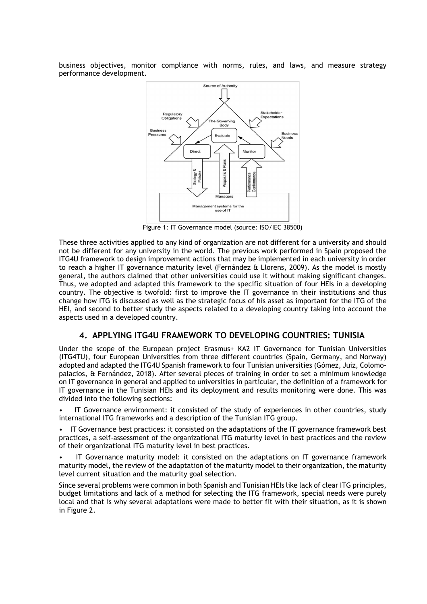business objectives, monitor compliance with norms, rules, and laws, and measure strategy performance development.



Figure 1: IT Governance model (source: ISO/IEC 38500)

These three activities applied to any kind of organization are not different for a university and should not be different for any university in the world. The previous work performed in Spain proposed the ITG4U framework to design improvement actions that may be implemented in each university in order to reach a higher IT governance maturity level (Fernández & Llorens, 2009). As the model is mostly general, the authors claimed that other universities could use it without making significant changes. Thus, we adopted and adapted this framework to the specific situation of four HEIs in a developing country. The objective is twofold: first to improve the IT governance in their institutions and thus change how ITG is discussed as well as the strategic focus of his asset as important for the ITG of the HEI, and second to better study the aspects related to a developing country taking into account the aspects used in a developed country.

### **4. APPLYING ITG4U FRAMEWORK TO DEVELOPING COUNTRIES: TUNISIA**

Under the scope of the European project Erasmus+ KA2 IT Governance for Tunisian Universities (ITG4TU), four European Universities from three different countries (Spain, Germany, and Norway) adopted and adapted the ITG4U Spanish framework to four Tunisian universities (Gómez, Juiz, Colomopalacios, & Fernández, 2018). After several pieces of training in order to set a minimum knowledge on IT governance in general and applied to universities in particular, the definition of a framework for IT governance in the Tunisian HEIs and its deployment and results monitoring were done. This was divided into the following sections:

• IT Governance environment: it consisted of the study of experiences in other countries, study international ITG frameworks and a description of the Tunisian ITG group.

IT Governance best practices: it consisted on the adaptations of the IT governance framework best practices, a self-assessment of the organizational ITG maturity level in best practices and the review of their organizational ITG maturity level in best practices.

• IT Governance maturity model: it consisted on the adaptations on IT governance framework maturity model, the review of the adaptation of the maturity model to their organization, the maturity level current situation and the maturity goal selection.

Since several problems were common in both Spanish and Tunisian HEIs like lack of clear ITG principles, budget limitations and lack of a method for selecting the ITG framework, special needs were purely local and that is why several adaptations were made to better fit with their situation, as it is shown in Figure 2.